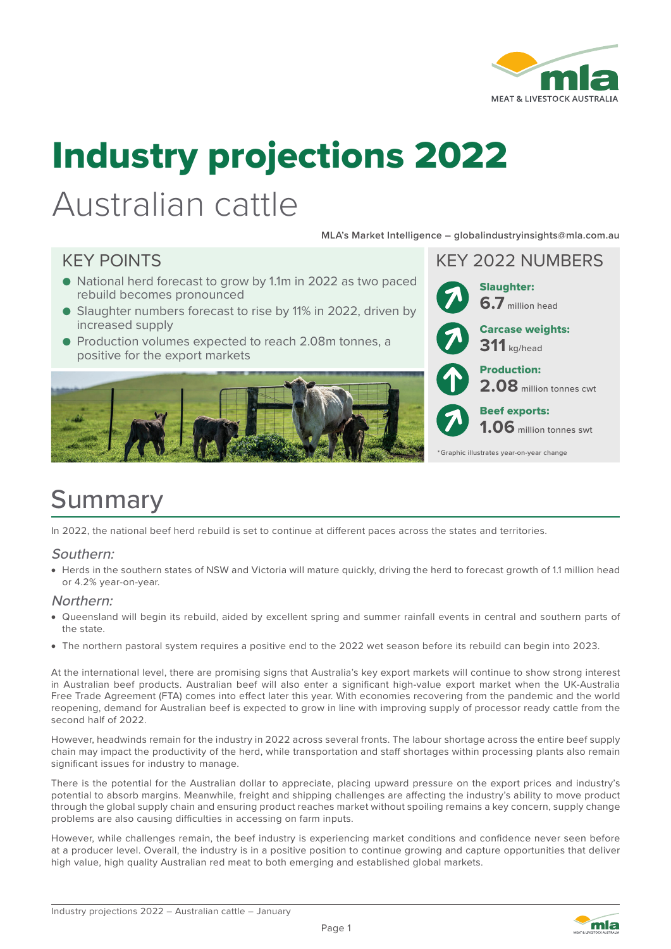

# Industry projections 2022

## Australian cattle

**MLA's Market Intelligence – globalindustryinsights@mla.com.au**

- National herd forecast to grow by 1.1m in 2022 as two paced rebuild becomes pronounced
- Slaughter numbers forecast to rise by 11% in 2022, driven by increased supply
- Production volumes expected to reach 2.08m tonnes, a positive for the export markets





### **Summary**

In 2022, the national beef herd rebuild is set to continue at different paces across the states and territories.

#### Southern:

• Herds in the southern states of NSW and Victoria will mature quickly, driving the herd to forecast growth of 1.1 million head or 4.2% year-on-year.

#### Northern:

- Queensland will begin its rebuild, aided by excellent spring and summer rainfall events in central and southern parts of the state.
- The northern pastoral system requires a positive end to the 2022 wet season before its rebuild can begin into 2023.

At the international level, there are promising signs that Australia's key export markets will continue to show strong interest in Australian beef products. Australian beef will also enter a significant high-value export market when the UK-Australia Free Trade Agreement (FTA) comes into effect later this year. With economies recovering from the pandemic and the world reopening, demand for Australian beef is expected to grow in line with improving supply of processor ready cattle from the second half of 2022.

However, headwinds remain for the industry in 2022 across several fronts. The labour shortage across the entire beef supply chain may impact the productivity of the herd, while transportation and staff shortages within processing plants also remain significant issues for industry to manage.

There is the potential for the Australian dollar to appreciate, placing upward pressure on the export prices and industry's potential to absorb margins. Meanwhile, freight and shipping challenges are affecting the industry's ability to move product through the global supply chain and ensuring product reaches market without spoiling remains a key concern, supply change problems are also causing difficulties in accessing on farm inputs.

However, while challenges remain, the beef industry is experiencing market conditions and confidence never seen before at a producer level. Overall, the industry is in a positive position to continue growing and capture opportunities that deliver high value, high quality Australian red meat to both emerging and established global markets.

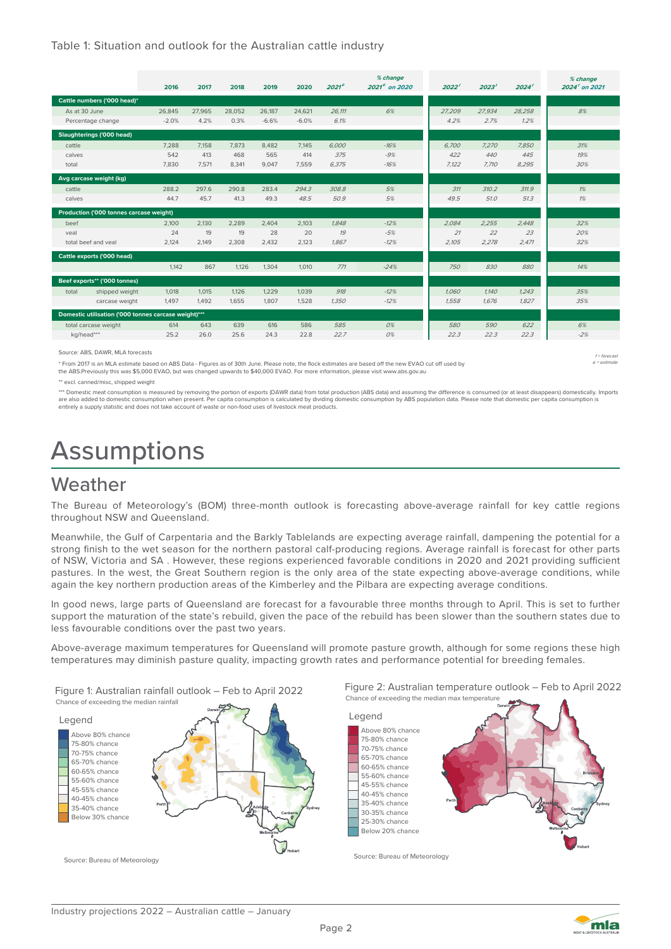#### Table 1: Situation and outlook for the Australian cattle industry

|                                                |                                                      | 2016    | 2017   | 2018   | 2019    | 2020    | $2021^e$ | % change<br>$2021e$ on 2020 | 2022'  | 2023'  | 2024'  | % change<br>$2024'$ on 2021 |
|------------------------------------------------|------------------------------------------------------|---------|--------|--------|---------|---------|----------|-----------------------------|--------|--------|--------|-----------------------------|
| Cattle numbers ('000 head)*                    |                                                      |         |        |        |         |         |          |                             |        |        |        |                             |
| As at 30 June                                  |                                                      | 26.845  | 27.965 | 28.052 | 26.187  | 24.621  | 26.111   | 6%                          | 27.209 | 27.934 | 28.258 | 8%                          |
|                                                | Percentage change                                    | $-2.0%$ | 4.2%   | 0.3%   | $-6.6%$ | $-6.0%$ | 6.1%     |                             | 4.2%   | 2.7%   | 1.2%   |                             |
| Slaughterings ('000 head)                      |                                                      |         |        |        |         |         |          |                             |        |        |        |                             |
| cattle                                         |                                                      | 7.288   | 7,158  | 7,873  | 8.482   | 7.145   | 6.000    | $-16%$                      | 6.700  | 7,270  | 7.850  | 31%                         |
| calves                                         |                                                      | 542     | 413    | 468    | 565     | 414     | 375      | $-9%$                       | 422    | 440    | 445    | 19%                         |
| total                                          |                                                      | 7,830   | 7.571  | 8,341  | 9,047   | 7.559   | 6.375    | $-16%$                      | 7.122  | 7.710  | 8,295  | 30%                         |
|                                                | Avg carcase weight (kg)                              |         |        |        |         |         |          |                             |        |        |        |                             |
| cattle                                         |                                                      | 288.2   | 297.6  | 290.8  | 283.4   | 294.3   | 308.8    | 5%                          | 311    | 310.2  | 311.9  | 1%                          |
| calves                                         |                                                      | 44.7    | 45.7   | 41.3   | 49.3    | 48.5    | 50.9     | 5%                          | 49.5   | 51.0   | 51.3   | 1%                          |
| <b>Production ('000 tonnes carcase weight)</b> |                                                      |         |        |        |         |         |          |                             |        |        |        |                             |
| beef                                           |                                                      | 2.100   | 2.130  | 2.289  | 2.404   | 2.103   | 1.848    | $-12%$                      | 2.084  | 2.255  | 2.448  | 32%                         |
| veal                                           |                                                      | 24      | 19     | 19     | 28      | 20      | 19       | $-5%$                       | 21     | 22     | 23     | 20%                         |
|                                                | total beef and yeal                                  | 2,124   | 2.149  | 2,308  | 2,432   | 2,123   | 1.867    | $-12%$                      | 2,105  | 2,278  | 2,471  | 32%                         |
|                                                | Cattle exports ('000 head)                           |         |        |        |         |         |          |                             |        |        |        |                             |
|                                                |                                                      | 1.142   | 867    | 1.126  | 1.304   | 1.010   | 771      | $-24%$                      | 750    | 830    | 880    | 14%                         |
|                                                | Beef exports** ('000 tonnes)                         |         |        |        |         |         |          |                             |        |        |        |                             |
| total                                          | shipped weight                                       | 1,018   | 1,015  | 1,126  | 1,229   | 1,039   | 918      | $-12%$                      | 1.060  | 1.140  | 1,243  | 35%                         |
|                                                | carcase weight                                       | 1.497   | 1.492  | 1.655  | 1.807   | 1.528   | 1.350    | $-12%$                      | 1.558  | 1.676  | 1.827  | 35%                         |
|                                                | Domestic utilisation ('000 tonnes carcase weight)*** |         |        |        |         |         |          |                             |        |        |        |                             |
| total carcase weight                           |                                                      | 614     | 643    | 639    | 616     | 586     | 585      | 0%                          | 580    | 590    | 622    | 6%                          |
| kg/head***                                     |                                                      | 25.2    | 26.0   | 25.6   | 24.3    | 22.8    | 22.7     | 0%                          | 22.3   | 22.3   | 22.3   | $-2%$                       |

Source: ABS, DAWR, MLA forecasts  $f = 6$  forecasts f  $= 6$  forecasts f  $= 6$  forecasts f  $= 6$  forecasts f  $= 6$  forecasts f  $= 6$  forecasts f  $= 6$  forecasts f  $= 6$  forecasts f  $= 6$  forecasts f  $= 6$  forecasts f  $= 6$  f

\* From 2017 is an MLA estimate based on ABS Data - Figures as of 30th June. Please note, the flock estimates are based off the new EVAO cut off used by

the ABS.Previously this was \$5,000 EVAO, but was changed upwards to \$40,000 EVAO. For more information, please visit www.abs.gov.au

\*\* excl. canned/misc, shipped weight

\*\*\* Domestic meat consumption is measured by removing the portion of exports (DAWR data) from total production (ABS data) and assuming the difference is consumed (or at least disappears) domestically. Imports are also added to domestic consumption when present. Per capita consumption is calculated by dividing domestic consumption by ABS population data. Please note that domestic per capita consumption is entirely a supply statistic and does not take account of waste or non-food uses of livestock meat products.

## Assumptions

### Weather

The Bureau of Meteorology's (BOM) three-month outlook is forecasting above-average rainfall for key cattle regions throughout NSW and Queensland.

Meanwhile, the Gulf of Carpentaria and the Barkly Tablelands are expecting average rainfall, dampening the potential for a strong finish to the wet season for the northern pastoral calf-producing regions. Average rainfall is forecast for other parts of NSW, Victoria and SA . However, these regions experienced favorable conditions in 2020 and 2021 providing sufficient pastures. In the west, the Great Southern region is the only area of the state expecting above-average conditions, while again the key northern production areas of the Kimberley and the Pilbara are expecting average conditions.

In good news, large parts of Queensland are forecast for a favourable three months through to April. This is set to further support the maturation of the state's rebuild, given the pace of the rebuild has been slower than the southern states due to less favourable conditions over the past two years.

Above-average maximum temperatures for Queensland will promote pasture growth, although for some regions these high temperatures may diminish pasture quality, impacting growth rates and performance potential for breeding females.

Figure 1: Australian rainfall outlook – Feb to April 2022







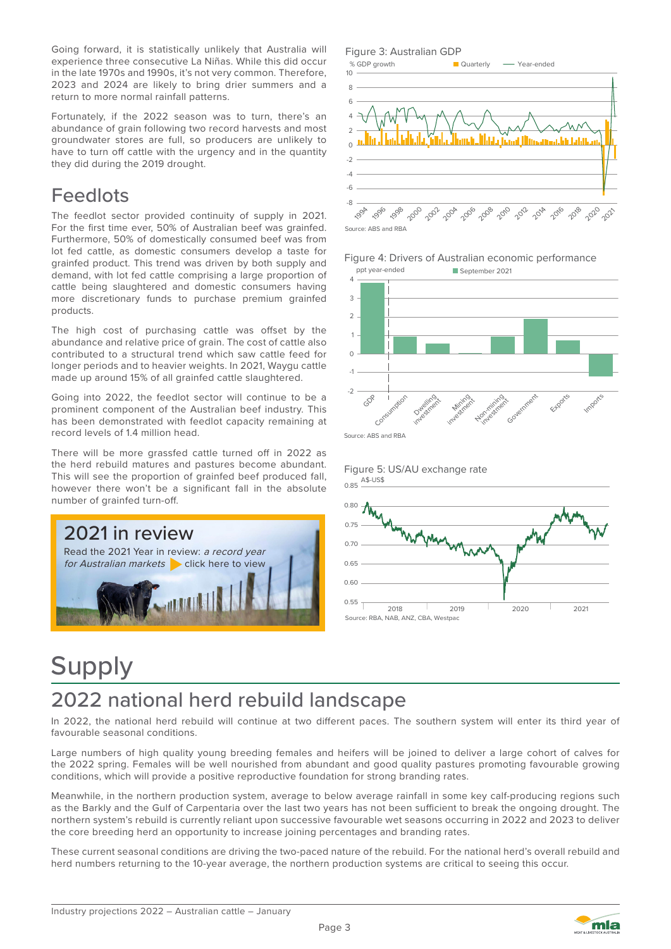Going forward, it is statistically unlikely that Australia will experience three consecutive La Niñas. While this did occur in the late 1970s and 1990s, it's not very common. Therefore, 2023 and 2024 are likely to bring drier summers and a return to more normal rainfall patterns.

Fortunately, if the 2022 season was to turn, there's an abundance of grain following two record harvests and most groundwater stores are full, so producers are unlikely to have to turn off cattle with the urgency and in the quantity they did during the 2019 drought.

### Feedlots

The feedlot sector provided continuity of supply in 2021. For the first time ever, 50% of Australian beef was grainfed. Furthermore, 50% of domestically consumed beef was from lot fed cattle, as domestic consumers develop a taste for grainfed product. This trend was driven by both supply and demand, with lot fed cattle comprising a large proportion of cattle being slaughtered and domestic consumers having more discretionary funds to purchase premium grainfed products.

The high cost of purchasing cattle was offset by the abundance and relative price of grain. The cost of cattle also contributed to a structural trend which saw cattle feed for longer periods and to heavier weights. In 2021, Waygu cattle made up around 15% of all grainfed cattle slaughtered.

Going into 2022, the feedlot sector will continue to be a prominent component of the Australian beef industry. This has been demonstrated with feedlot capacity remaining at record levels of 1.4 million head.

There will be more grassfed cattle turned off in 2022 as the herd rebuild matures and pastures become abundant. This will see the proportion of grainfed beef produced fall, however there won't be a significant fall in the absolute number of grainfed turn-off.















## Supply

### 2022 national herd rebuild landscape

In 2022, the national herd rebuild will continue at two different paces. The southern system will enter its third year of favourable seasonal conditions.

Large numbers of high quality young breeding females and heifers will be joined to deliver a large cohort of calves for the 2022 spring. Females will be well nourished from abundant and good quality pastures promoting favourable growing conditions, which will provide a positive reproductive foundation for strong branding rates.

Meanwhile, in the northern production system, average to below average rainfall in some key calf-producing regions such as the Barkly and the Gulf of Carpentaria over the last two years has not been sufficient to break the ongoing drought. The northern system's rebuild is currently reliant upon successive favourable wet seasons occurring in 2022 and 2023 to deliver the core breeding herd an opportunity to increase joining percentages and branding rates.

These current seasonal conditions are driving the two-paced nature of the rebuild. For the national herd's overall rebuild and herd numbers returning to the 10-year average, the northern production systems are critical to seeing this occur.

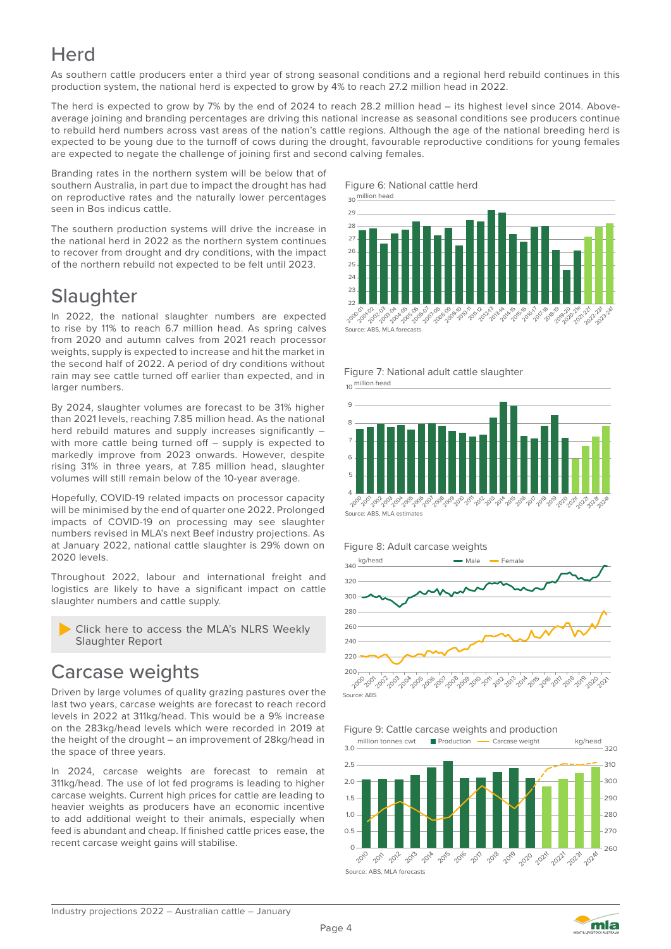### **Herd**

As southern cattle producers enter a third year of strong seasonal conditions and a regional herd rebuild continues in this production system, the national herd is expected to grow by 4% to reach 27.2 million head in 2022.

The herd is expected to grow by 7% by the end of 2024 to reach 28.2 million head – its highest level since 2014. Aboveaverage joining and branding percentages are driving this national increase as seasonal conditions see producers continue to rebuild herd numbers across vast areas of the nation's cattle regions. Although the age of the national breeding herd is expected to be young due to the turnoff of cows during the drought, favourable reproductive conditions for young females are expected to negate the challenge of joining first and second calving females.

Branding rates in the northern system will be below that of southern Australia, in part due to impact the drought has had on reproductive rates and the naturally lower percentages seen in Bos indicus cattle.

The southern production systems will drive the increase in the national herd in 2022 as the northern system continues to recover from drought and dry conditions, with the impact of the northern rebuild not expected to be felt until 2023.

### **Slaughter**

In 2022, the national slaughter numbers are expected to rise by 11% to reach 6.7 million head. As spring calves from 2020 and autumn calves from 2021 reach processor weights, supply is expected to increase and hit the market in the second half of 2022. A period of dry conditions without rain may see cattle turned off earlier than expected, and in larger numbers.

By 2024, slaughter volumes are forecast to be 31% higher than 2021 levels, reaching 7.85 million head. As the national herd rebuild matures and supply increases significantly – with more cattle being turned off – supply is expected to markedly improve from 2023 onwards. However, despite rising 31% in three years, at 7.85 million head, slaughter volumes will still remain below of the 10-year average.

Hopefully, COVID-19 related impacts on processor capacity will be minimised by the end of quarter one 2022. Prolonged impacts of COVID-19 on processing may see slaughter numbers revised in MLA's next Beef industry projections. As at January 2022, national cattle slaughter is 29% down on 2020 levels.

Throughout 2022, labour and international freight and logistics are likely to have a significant impact on cattle slaughter numbers and cattle supply.



### Carcase weights

Driven by large volumes of quality grazing pastures over the last two years, carcase weights are forecast to reach record levels in 2022 at 311kg/head. This would be a 9% increase on the 283kg/head levels which were recorded in 2019 at the height of the drought – an improvement of 28kg/head in the space of three years.

In 2024, carcase weights are forecast to remain at 311kg/head. The use of lot fed programs is leading to higher carcase weights. Current high prices for cattle are leading to heavier weights as producers have an economic incentive to add additional weight to their animals, especially when feed is abundant and cheap. If finished cattle prices ease, the recent carcase weight gains will stabilise.



Figure 7: National adult cattle slaughter million head 10







Figure 9: Cattle carcase weights and production



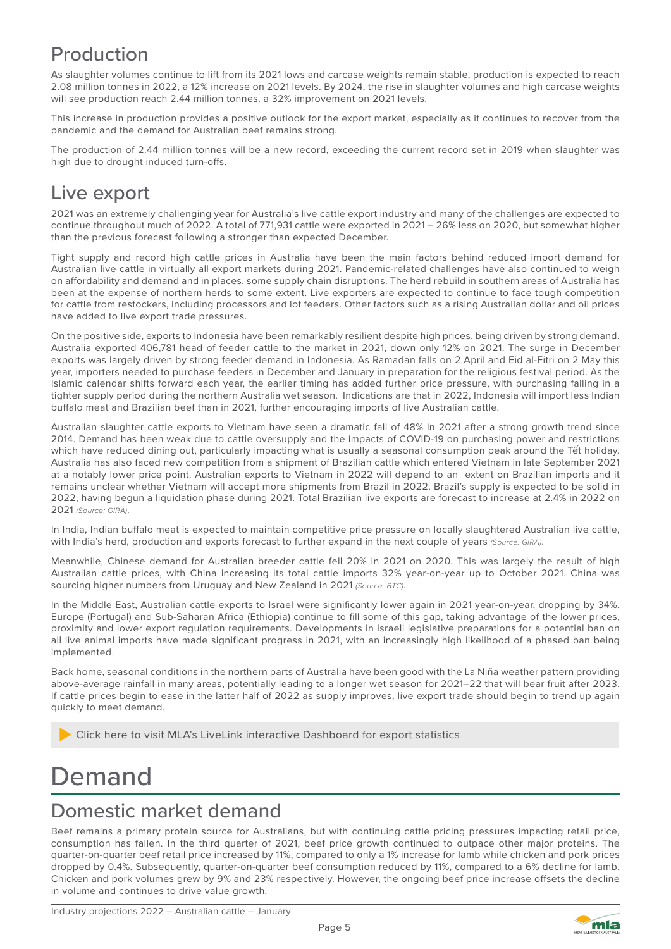### Production

As slaughter volumes continue to lift from its 2021 lows and carcase weights remain stable, production is expected to reach 2.08 million tonnes in 2022, a 12% increase on 2021 levels. By 2024, the rise in slaughter volumes and high carcase weights will see production reach 2.44 million tonnes, a 32% improvement on 2021 levels.

This increase in production provides a positive outlook for the export market, especially as it continues to recover from the pandemic and the demand for Australian beef remains strong.

The production of 2.44 million tonnes will be a new record, exceeding the current record set in 2019 when slaughter was high due to drought induced turn-offs.

### Live export

2021 was an extremely challenging year for Australia's live cattle export industry and many of the challenges are expected to continue throughout much of 2022. A total of 771,931 cattle were exported in 2021 – 26% less on 2020, but somewhat higher than the previous forecast following a stronger than expected December.

Tight supply and record high cattle prices in Australia have been the main factors behind reduced import demand for Australian live cattle in virtually all export markets during 2021. Pandemic-related challenges have also continued to weigh on affordability and demand and in places, some supply chain disruptions. The herd rebuild in southern areas of Australia has been at the expense of northern herds to some extent. Live exporters are expected to continue to face tough competition for cattle from restockers, including processors and lot feeders. Other factors such as a rising Australian dollar and oil prices have added to live export trade pressures.

On the positive side, exports to Indonesia have been remarkably resilient despite high prices, being driven by strong demand. Australia exported 406,781 head of feeder cattle to the market in 2021, down only 12% on 2021. The surge in December exports was largely driven by strong feeder demand in Indonesia. As Ramadan falls on 2 April and Eid al-Fitri on 2 May this year, importers needed to purchase feeders in December and January in preparation for the religious festival period. As the Islamic calendar shifts forward each year, the earlier timing has added further price pressure, with purchasing falling in a tighter supply period during the northern Australia wet season. Indications are that in 2022, Indonesia will import less Indian buffalo meat and Brazilian beef than in 2021, further encouraging imports of live Australian cattle.

Australian slaughter cattle exports to Vietnam have seen a dramatic fall of 48% in 2021 after a strong growth trend since 2014. Demand has been weak due to cattle oversupply and the impacts of COVID-19 on purchasing power and restrictions which have reduced dining out, particularly impacting what is usually a seasonal consumption peak around the Tết holiday. Australia has also faced new competition from a shipment of Brazilian cattle which entered Vietnam in late September 2021 at a notably lower price point. Australian exports to Vietnam in 2022 will depend to an extent on Brazilian imports and it remains unclear whether Vietnam will accept more shipments from Brazil in 2022. Brazil's supply is expected to be solid in 2022, having begun a liquidation phase during 2021. Total Brazilian live exports are forecast to increase at 2.4% in 2022 on 2021 *(Source: GIRA)*.

In India, Indian buffalo meat is expected to maintain competitive price pressure on locally slaughtered Australian live cattle, with India's herd, production and exports forecast to further expand in the next couple of years *(Source: GIRA)*.

Meanwhile, Chinese demand for Australian breeder cattle fell 20% in 2021 on 2020. This was largely the result of high Australian cattle prices, with China increasing its total cattle imports 32% year-on-year up to October 2021. China was sourcing higher numbers from Uruguay and New Zealand in 2021 *(Source: BTC)*.

In the Middle East, Australian cattle exports to Israel were significantly lower again in 2021 year-on-year, dropping by 34%. Europe (Portugal) and Sub-Saharan Africa (Ethiopia) continue to fill some of this gap, taking advantage of the lower prices, proximity and lower export regulation requirements. Developments in Israeli legislative preparations for a potential ban on all live animal imports have made significant progress in 2021, with an increasingly high likelihood of a phased ban being implemented.

Back home, seasonal conditions in the northern parts of Australia have been good with the La Niña weather pattern providing above-average rainfall in many areas, potentially leading to a longer wet season for 2021–22 that will bear fruit after 2023. If cattle prices begin to ease in the latter half of 2022 as supply improves, live export trade should begin to trend up again quickly to meet demand.

Click here to visit MLA's LiveLink interactive Dashboard for export statistics

### Demand

### Domestic market demand

Beef remains a primary protein source for Australians, but with continuing cattle pricing pressures impacting retail price, consumption has fallen. In the third quarter of 2021, beef price growth continued to outpace other major proteins. The quarter-on-quarter beef retail price increased by 11%, compared to only a 1% increase for lamb while chicken and pork prices dropped by 0.4%. Subsequently, quarter-on-quarter beef consumption reduced by 11%, compared to a 6% decline for lamb. Chicken and pork volumes grew by 9% and 23% respectively. However, the ongoing beef price increase offsets the decline in volume and continues to drive value growth.

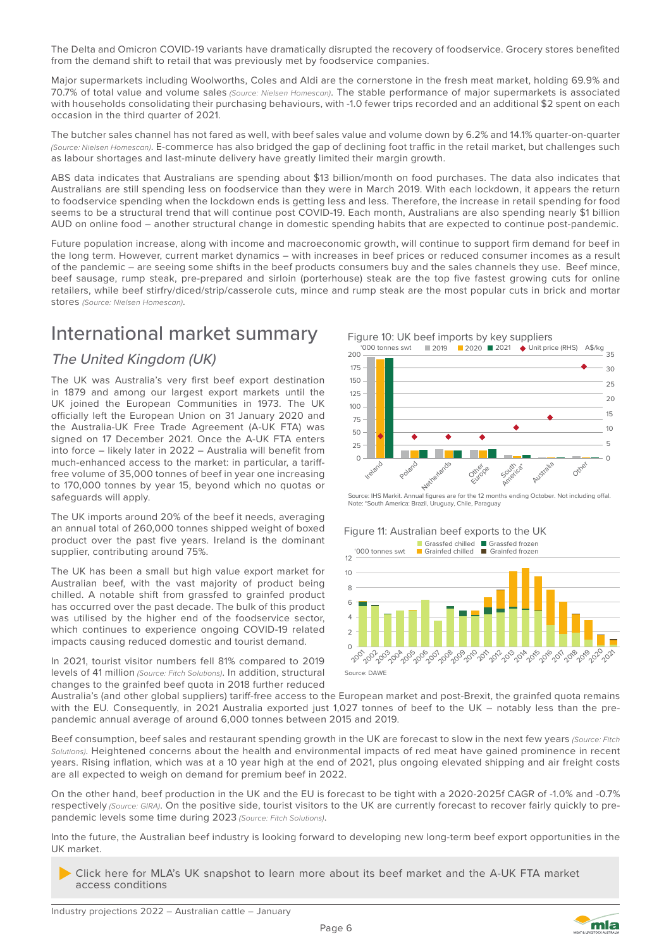The Delta and Omicron COVID-19 variants have dramatically disrupted the recovery of foodservice. Grocery stores benefited from the demand shift to retail that was previously met by foodservice companies.

Major supermarkets including Woolworths, Coles and Aldi are the cornerstone in the fresh meat market, holding 69.9% and 70.7% of total value and volume sales *(Source: Nielsen Homescan)*. The stable performance of major supermarkets is associated with households consolidating their purchasing behaviours, with -1.0 fewer trips recorded and an additional \$2 spent on each occasion in the third quarter of 2021.

The butcher sales channel has not fared as well, with beef sales value and volume down by 6.2% and 14.1% quarter-on-quarter *(Source: Nielsen Homescan)*. E-commerce has also bridged the gap of declining foot traffic in the retail market, but challenges such as labour shortages and last-minute delivery have greatly limited their margin growth.

ABS data indicates that Australians are spending about \$13 billion/month on food purchases. The data also indicates that Australians are still spending less on foodservice than they were in March 2019. With each lockdown, it appears the return to foodservice spending when the lockdown ends is getting less and less. Therefore, the increase in retail spending for food seems to be a structural trend that will continue post COVID-19. Each month, Australians are also spending nearly \$1 billion AUD on online food – another structural change in domestic spending habits that are expected to continue post-pandemic.

Future population increase, along with income and macroeconomic growth, will continue to support firm demand for beef in the long term. However, current market dynamics – with increases in beef prices or reduced consumer incomes as a result of the pandemic – are seeing some shifts in the beef products consumers buy and the sales channels they use. Beef mince, beef sausage, rump steak, pre-prepared and sirloin (porterhouse) steak are the top five fastest growing cuts for online retailers, while beef stirfry/diced/strip/casserole cuts, mince and rump steak are the most popular cuts in brick and mortar stores *(Source: Nielsen Homescan)*.

### International market summary

### The United Kingdom (UK)

The UK was Australia's very first beef export destination in 1879 and among our largest export markets until the UK joined the European Communities in 1973. The UK officially left the European Union on 31 January 2020 and the Australia-UK Free Trade Agreement (A-UK FTA) was signed on 17 December 2021. Once the A-UK FTA enters into force – likely later in 2022 – Australia will benefit from much-enhanced access to the market: in particular, a tarifffree volume of 35,000 tonnes of beef in year one increasing to 170,000 tonnes by year 15, beyond which no quotas or safeguards will apply.

The UK imports around 20% of the beef it needs, averaging an annual total of 260,000 tonnes shipped weight of boxed product over the past five years. Ireland is the dominant supplier, contributing around 75%.

The UK has been a small but high value export market for Australian beef, with the vast majority of product being chilled. A notable shift from grassfed to grainfed product has occurred over the past decade. The bulk of this product was utilised by the higher end of the foodservice sector, which continues to experience ongoing COVID-19 related impacts causing reduced domestic and tourist demand.

In 2021, tourist visitor numbers fell 81% compared to 2019 levels of 41 million *(Source: Fitch Solutions)*. In addition, structural changes to the grainfed beef quota in 2018 further reduced



Source: IHS Markit. Annual figures are for the 12 months ending October. Not including offal. Note: \*South America: Brazil, Uruguay, Chile, Paraguay

#### Figure 11: Australian beef exports to the UK



Australia's (and other global suppliers) tariff-free access to the European market and post-Brexit, the grainfed quota remains with the EU. Consequently, in 2021 Australia exported just 1,027 tonnes of beef to the UK – notably less than the prepandemic annual average of around 6,000 tonnes between 2015 and 2019.

Beef consumption, beef sales and restaurant spending growth in the UK are forecast to slow in the next few years *(Source: Fitch Solutions)*. Heightened concerns about the health and environmental impacts of red meat have gained prominence in recent years. Rising inflation, which was at a 10 year high at the end of 2021, plus ongoing elevated shipping and air freight costs are all expected to weigh on demand for premium beef in 2022.

On the other hand, beef production in the UK and the EU is forecast to be tight with a 2020-2025f CAGR of -1.0% and -0.7% respectively *(Source: GIRA)*. On the positive side, tourist visitors to the UK are currently forecast to recover fairly quickly to prepandemic levels some time during 2023 *(Source: Fitch Solutions)*.

Into the future, the Australian beef industry is looking forward to developing new long-term beef export opportunities in the UK market.

Page 6

Click here for MLA's UK snapshot to learn more about its beef market and the A-UK FTA market access conditions

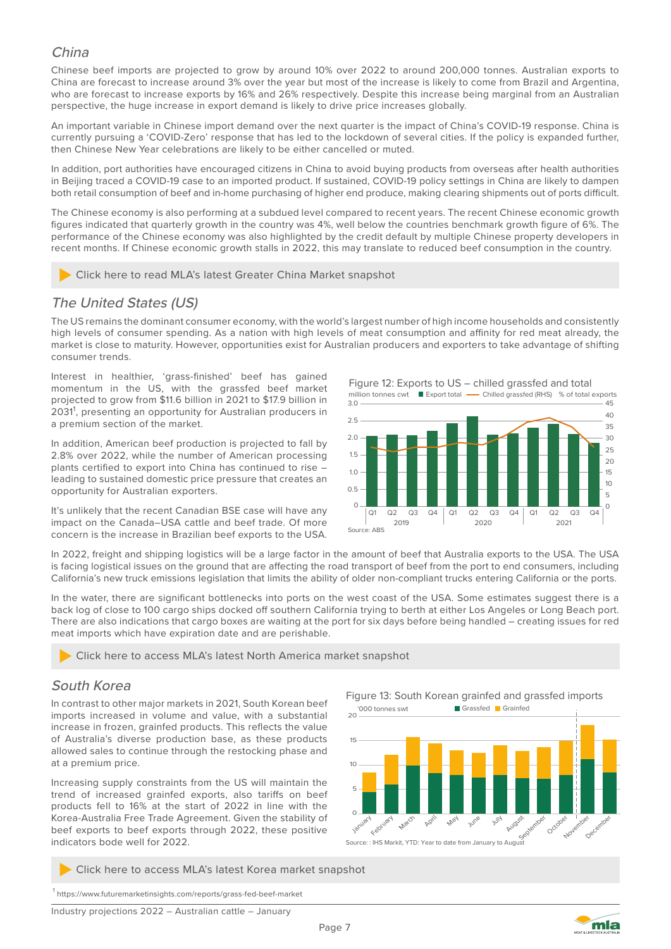#### China

Chinese beef imports are projected to grow by around 10% over 2022 to around 200,000 tonnes. Australian exports to China are forecast to increase around 3% over the year but most of the increase is likely to come from Brazil and Argentina, who are forecast to increase exports by 16% and 26% respectively. Despite this increase being marginal from an Australian perspective, the huge increase in export demand is likely to drive price increases globally.

An important variable in Chinese import demand over the next quarter is the impact of China's COVID-19 response. China is currently pursuing a 'COVID-Zero' response that has led to the lockdown of several cities. If the policy is expanded further, then Chinese New Year celebrations are likely to be either cancelled or muted.

In addition, port authorities have encouraged citizens in China to avoid buying products from overseas after health authorities in Beijing traced a COVID-19 case to an imported product. If sustained, COVID-19 policy settings in China are likely to dampen both retail consumption of beef and in-home purchasing of higher end produce, making clearing shipments out of ports difficult.

The Chinese economy is also performing at a subdued level compared to recent years. The recent Chinese economic growth figures indicated that quarterly growth in the country was 4%, well below the countries benchmark growth figure of 6%. The performance of the Chinese economy was also highlighted by the credit default by multiple Chinese property developers in recent months. If Chinese economic growth stalls in 2022, this may translate to reduced beef consumption in the country.

Click here to read MLA's latest Greater China Market snapshot

### The United States (US)

The US remains the dominant consumer economy, with the world's largest number of high income households and consistently high levels of consumer spending. As a nation with high levels of meat consumption and affinity for red meat already, the market is close to maturity. However, opportunities exist for Australian producers and exporters to take advantage of shifting consumer trends.

Interest in healthier, 'grass-finished' beef has gained momentum in the US, with the grassfed beef market projected to grow from \$11.6 billion in 2021 to \$17.9 billion in 2031<sup>1</sup>, presenting an opportunity for Australian producers in a premium section of the market.

In addition, American beef production is projected to fall by 2.8% over 2022, while the number of American processing plants certified to export into China has continued to rise – leading to sustained domestic price pressure that creates an opportunity for Australian exporters.

It's unlikely that the recent Canadian BSE case will have any impact on the Canada–USA cattle and beef trade. Of more concern is the increase in Brazilian beef exports to the USA.





In 2022, freight and shipping logistics will be a large factor in the amount of beef that Australia exports to the USA. The USA is facing logistical issues on the ground that are affecting the road transport of beef from the port to end consumers, including California's new truck emissions legislation that limits the ability of older non-compliant trucks entering California or the ports.

In the water, there are significant bottlenecks into ports on the west coast of the USA. Some estimates suggest there is a back log of close to 100 cargo ships docked off southern California trying to berth at either Los Angeles or Long Beach port. There are also indications that cargo boxes are waiting at the port for six days before being handled – creating issues for red meat imports which have expiration date and are perishable.

Click here to access MLA's latest North America market snapshot

#### South Korea

In contrast to other major markets in 2021, South Korean beef imports increased in volume and value, with a substantial increase in frozen, grainfed products. This reflects the value of Australia's diverse production base, as these products allowed sales to continue through the restocking phase and at a premium price.

Increasing supply constraints from the US will maintain the trend of increased grainfed exports, also tariffs on beef products fell to 16% at the start of 2022 in line with the Korea-Australia Free Trade Agreement. Given the stability of beef exports to beef exports through 2022, these positive indicators bode well for 2022.

Click here to access MLA's latest Korea market snapshot

1 https://www.futuremarketinsights.com/reports/grass-fed-beef-market





Industry projections 2022 – Australian cattle – January

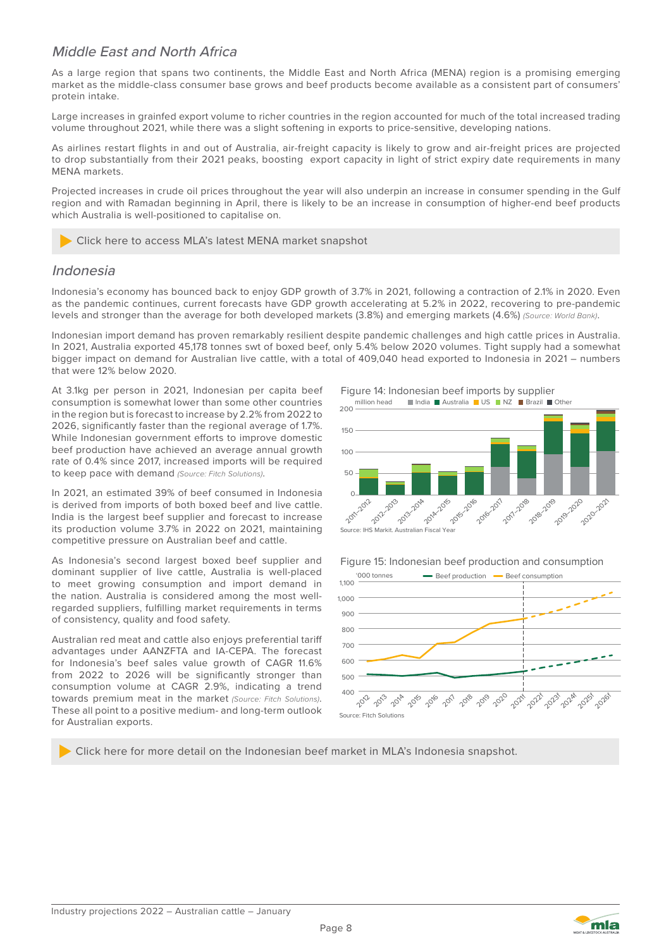#### Middle East and North Africa

As a large region that spans two continents, the Middle East and North Africa (MENA) region is a promising emerging market as the middle-class consumer base grows and beef products become available as a consistent part of consumers' protein intake.

Large increases in grainfed export volume to richer countries in the region accounted for much of the total increased trading volume throughout 2021, while there was a slight softening in exports to price-sensitive, developing nations.

As airlines restart flights in and out of Australia, air-freight capacity is likely to grow and air-freight prices are projected to drop substantially from their 2021 peaks, boosting export capacity in light of strict expiry date requirements in many MENA markets.

Projected increases in crude oil prices throughout the year will also underpin an increase in consumer spending in the Gulf region and with Ramadan beginning in April, there is likely to be an increase in consumption of higher-end beef products which Australia is well-positioned to capitalise on.

Click here to access MLA's latest MENA market snapshot

#### Indonesia

Indonesia's economy has bounced back to enjoy GDP growth of 3.7% in 2021, following a contraction of 2.1% in 2020. Even as the pandemic continues, current forecasts have GDP growth accelerating at 5.2% in 2022, recovering to pre-pandemic levels and stronger than the average for both developed markets (3.8%) and emerging markets (4.6%) *(Source: World Bank)*.

Indonesian import demand has proven remarkably resilient despite pandemic challenges and high cattle prices in Australia. In 2021, Australia exported 45,178 tonnes swt of boxed beef, only 5.4% below 2020 volumes. Tight supply had a somewhat bigger impact on demand for Australian live cattle, with a total of 409,040 head exported to Indonesia in 2021 – numbers that were 12% below 2020.

At 3.1kg per person in 2021, Indonesian per capita beef consumption is somewhat lower than some other countries in the region but is forecast to increase by 2.2% from 2022 to 2026, significantly faster than the regional average of 1.7%. While Indonesian government efforts to improve domestic beef production have achieved an average annual growth rate of 0.4% since 2017, increased imports will be required to keep pace with demand *(Source: Fitch Solutions)*.

In 2021, an estimated 39% of beef consumed in Indonesia is derived from imports of both boxed beef and live cattle. India is the largest beef supplier and forecast to increase its production volume 3.7% in 2022 on 2021, maintaining competitive pressure on Australian beef and cattle.

As Indonesia's second largest boxed beef supplier and dominant supplier of live cattle, Australia is well-placed to meet growing consumption and import demand in the nation. Australia is considered among the most wellregarded suppliers, fulfilling market requirements in terms of consistency, quality and food safety.

Australian red meat and cattle also enjoys preferential tariff advantages under AANZFTA and IA-CEPA. The forecast for Indonesia's beef sales value growth of CAGR 11.6% from 2022 to 2026 will be significantly stronger than consumption volume at CAGR 2.9%, indicating a trend towards premium meat in the market *(Source: Fitch Solutions)*. These all point to a positive medium- and long-term outlook for Australian exports.

Figure 14: Indonesian beef imports by supplier



Figure 15: Indonesian beef production and consumption '000 tonnes **- Beef production - Beef consumption** 



Click here for more detail on the Indonesian beef market in MLA's Indonesia snapshot.

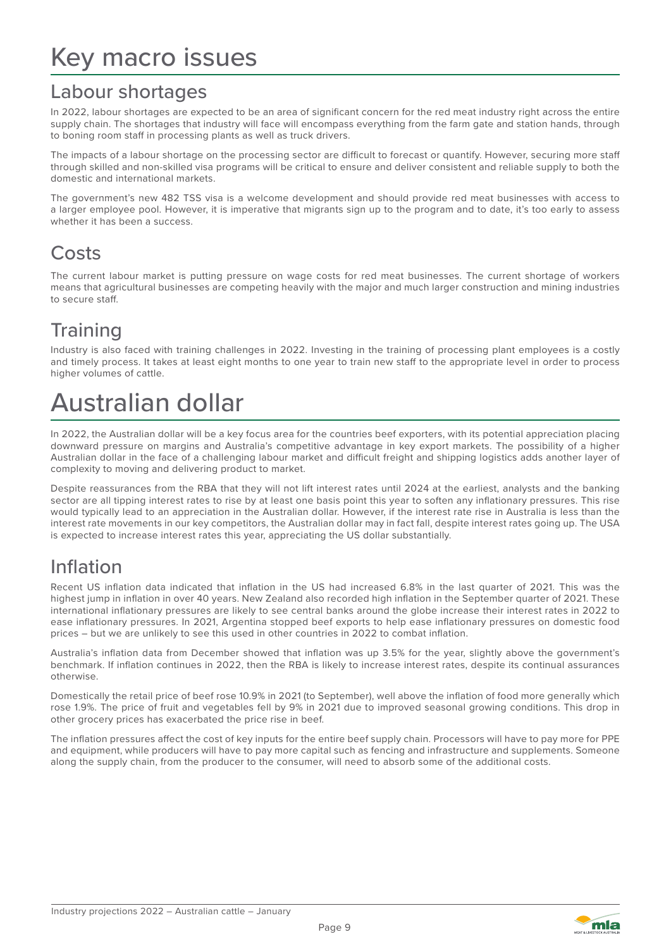### Labour shortages

In 2022, labour shortages are expected to be an area of significant concern for the red meat industry right across the entire supply chain. The shortages that industry will face will encompass everything from the farm gate and station hands, through to boning room staff in processing plants as well as truck drivers.

The impacts of a labour shortage on the processing sector are difficult to forecast or quantify. However, securing more staff through skilled and non-skilled visa programs will be critical to ensure and deliver consistent and reliable supply to both the domestic and international markets.

The government's new 482 TSS visa is a welcome development and should provide red meat businesses with access to a larger employee pool. However, it is imperative that migrants sign up to the program and to date, it's too early to assess whether it has been a success.

### Costs

The current labour market is putting pressure on wage costs for red meat businesses. The current shortage of workers means that agricultural businesses are competing heavily with the major and much larger construction and mining industries to secure staff.

### **Training**

Industry is also faced with training challenges in 2022. Investing in the training of processing plant employees is a costly and timely process. It takes at least eight months to one year to train new staff to the appropriate level in order to process higher volumes of cattle.

### Australian dollar

In 2022, the Australian dollar will be a key focus area for the countries beef exporters, with its potential appreciation placing downward pressure on margins and Australia's competitive advantage in key export markets. The possibility of a higher Australian dollar in the face of a challenging labour market and difficult freight and shipping logistics adds another layer of complexity to moving and delivering product to market.

Despite reassurances from the RBA that they will not lift interest rates until 2024 at the earliest, analysts and the banking sector are all tipping interest rates to rise by at least one basis point this year to soften any inflationary pressures. This rise would typically lead to an appreciation in the Australian dollar. However, if the interest rate rise in Australia is less than the interest rate movements in our key competitors, the Australian dollar may in fact fall, despite interest rates going up. The USA is expected to increase interest rates this year, appreciating the US dollar substantially.

### Inflation

Recent US inflation data indicated that inflation in the US had increased 6.8% in the last quarter of 2021. This was the highest jump in inflation in over 40 years. New Zealand also recorded high inflation in the September quarter of 2021. These international inflationary pressures are likely to see central banks around the globe increase their interest rates in 2022 to ease inflationary pressures. In 2021, Argentina stopped beef exports to help ease inflationary pressures on domestic food prices – but we are unlikely to see this used in other countries in 2022 to combat inflation.

Australia's inflation data from December showed that inflation was up 3.5% for the year, slightly above the government's benchmark. If inflation continues in 2022, then the RBA is likely to increase interest rates, despite its continual assurances otherwise.

Domestically the retail price of beef rose 10.9% in 2021 (to September), well above the inflation of food more generally which rose 1.9%. The price of fruit and vegetables fell by 9% in 2021 due to improved seasonal growing conditions. This drop in other grocery prices has exacerbated the price rise in beef.

The inflation pressures affect the cost of key inputs for the entire beef supply chain. Processors will have to pay more for PPE and equipment, while producers will have to pay more capital such as fencing and infrastructure and supplements. Someone along the supply chain, from the producer to the consumer, will need to absorb some of the additional costs.

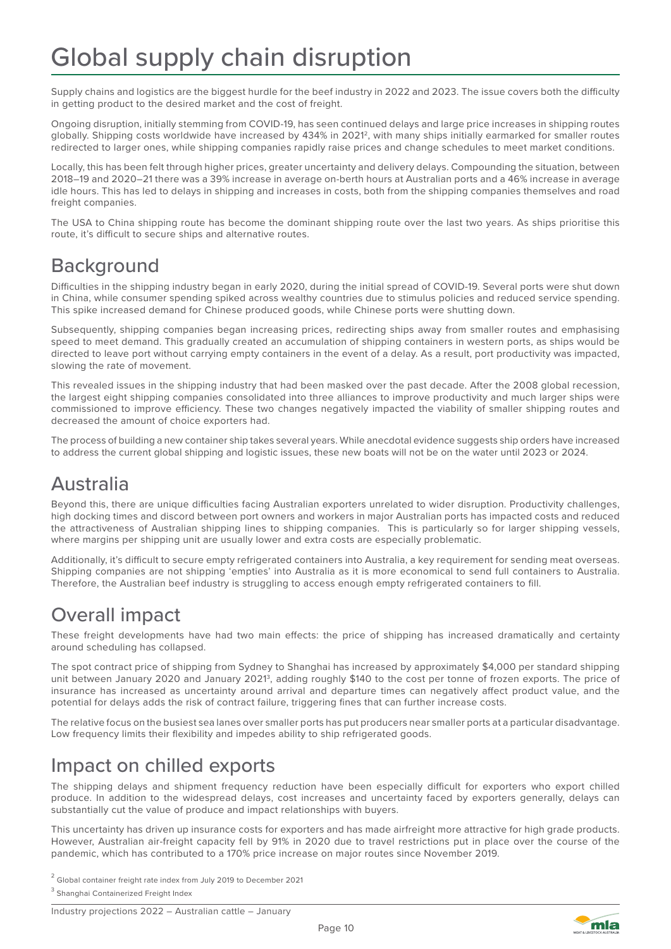Supply chains and logistics are the biggest hurdle for the beef industry in 2022 and 2023. The issue covers both the difficulty in getting product to the desired market and the cost of freight.

Ongoing disruption, initially stemming from COVID-19, has seen continued delays and large price increases in shipping routes globally. Shipping costs worldwide have increased by 434% in 20212, with many ships initially earmarked for smaller routes redirected to larger ones, while shipping companies rapidly raise prices and change schedules to meet market conditions.

Locally, this has been felt through higher prices, greater uncertainty and delivery delays. Compounding the situation, between 2018–19 and 2020–21 there was a 39% increase in average on-berth hours at Australian ports and a 46% increase in average idle hours. This has led to delays in shipping and increases in costs, both from the shipping companies themselves and road freight companies.

The USA to China shipping route has become the dominant shipping route over the last two years. As ships prioritise this route, it's difficult to secure ships and alternative routes.

### **Background**

Difficulties in the shipping industry began in early 2020, during the initial spread of COVID-19. Several ports were shut down in China, while consumer spending spiked across wealthy countries due to stimulus policies and reduced service spending. This spike increased demand for Chinese produced goods, while Chinese ports were shutting down.

Subsequently, shipping companies began increasing prices, redirecting ships away from smaller routes and emphasising speed to meet demand. This gradually created an accumulation of shipping containers in western ports, as ships would be directed to leave port without carrying empty containers in the event of a delay. As a result, port productivity was impacted, slowing the rate of movement.

This revealed issues in the shipping industry that had been masked over the past decade. After the 2008 global recession, the largest eight shipping companies consolidated into three alliances to improve productivity and much larger ships were commissioned to improve efficiency. These two changes negatively impacted the viability of smaller shipping routes and decreased the amount of choice exporters had.

The process of building a new container ship takes several years. While anecdotal evidence suggests ship orders have increased to address the current global shipping and logistic issues, these new boats will not be on the water until 2023 or 2024.

### Australia

Beyond this, there are unique difficulties facing Australian exporters unrelated to wider disruption. Productivity challenges, high docking times and discord between port owners and workers in major Australian ports has impacted costs and reduced the attractiveness of Australian shipping lines to shipping companies. This is particularly so for larger shipping vessels, where margins per shipping unit are usually lower and extra costs are especially problematic.

Additionally, it's difficult to secure empty refrigerated containers into Australia, a key requirement for sending meat overseas. Shipping companies are not shipping 'empties' into Australia as it is more economical to send full containers to Australia. Therefore, the Australian beef industry is struggling to access enough empty refrigerated containers to fill.

### Overall impact

These freight developments have had two main effects: the price of shipping has increased dramatically and certainty around scheduling has collapsed.

The spot contract price of shipping from Sydney to Shanghai has increased by approximately \$4,000 per standard shipping unit between January 2020 and January 20213, adding roughly \$140 to the cost per tonne of frozen exports. The price of insurance has increased as uncertainty around arrival and departure times can negatively affect product value, and the potential for delays adds the risk of contract failure, triggering fines that can further increase costs.

The relative focus on the busiest sea lanes over smaller ports has put producers near smaller ports at a particular disadvantage. Low frequency limits their flexibility and impedes ability to ship refrigerated goods.

### Impact on chilled exports

The shipping delays and shipment frequency reduction have been especially difficult for exporters who export chilled produce. In addition to the widespread delays, cost increases and uncertainty faced by exporters generally, delays can substantially cut the value of produce and impact relationships with buyers.

This uncertainty has driven up insurance costs for exporters and has made airfreight more attractive for high grade products. However, Australian air-freight capacity fell by 91% in 2020 due to travel restrictions put in place over the course of the pandemic, which has contributed to a 170% price increase on major routes since November 2019.

 $2$  Global container freight rate index from July 2019 to December 2021

<sup>3</sup> Shanghai Containerized Freight Index

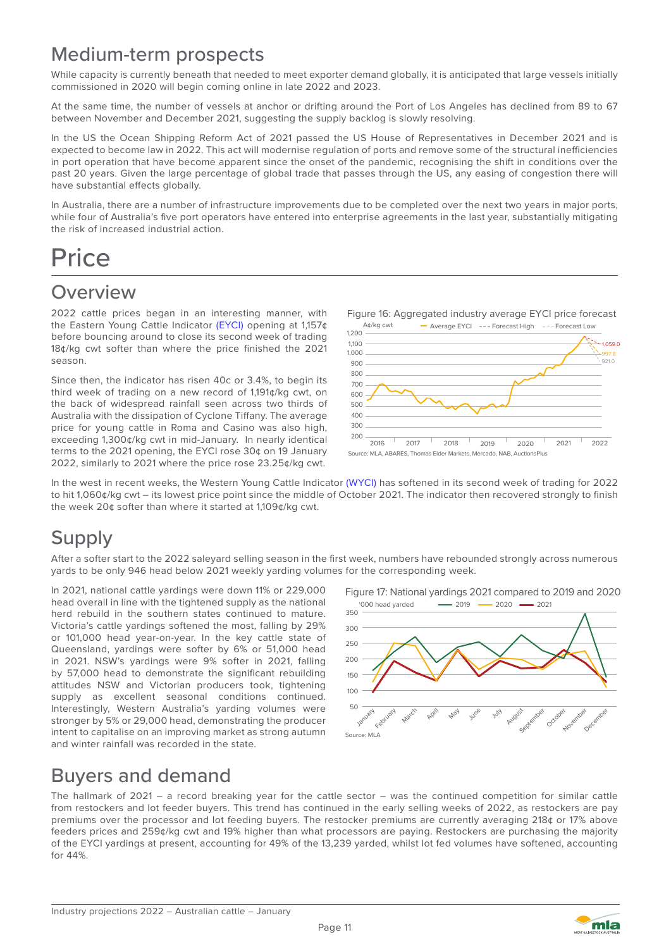### Medium-term prospects

While capacity is currently beneath that needed to meet exporter demand globally, it is anticipated that large vessels initially commissioned in 2020 will begin coming online in late 2022 and 2023.

At the same time, the number of vessels at anchor or drifting around the Port of Los Angeles has declined from 89 to 67 between November and December 2021, suggesting the supply backlog is slowly resolving.

In the US the Ocean Shipping Reform Act of 2021 passed the US House of Representatives in December 2021 and is expected to become law in 2022. This act will modernise regulation of ports and remove some of the structural inefficiencies in port operation that have become apparent since the onset of the pandemic, recognising the shift in conditions over the past 20 years. Given the large percentage of global trade that passes through the US, any easing of congestion there will have substantial effects globally.

In Australia, there are a number of infrastructure improvements due to be completed over the next two years in major ports, while four of Australia's five port operators have entered into enterprise agreements in the last year, substantially mitigating the risk of increased industrial action.

### **Price**

### **Overview**

2022 cattle prices began in an interesting manner, with the Eastern Young Cattle Indicator (EYCI) opening at 1,157¢ before bouncing around to close its second week of trading 18¢/kg cwt softer than where the price finished the 2021 season.

Since then, the indicator has risen 40c or 3.4%, to begin its third week of trading on a new record of 1,191¢/kg cwt, on the back of widespread rainfall seen across two thirds of Australia with the dissipation of Cyclone Tiffany. The average price for young cattle in Roma and Casino was also high, exceeding 1,300¢/kg cwt in mid-January. In nearly identical terms to the 2021 opening, the EYCI rose 30¢ on 19 January 2022, similarly to 2021 where the price rose 23.25¢/kg cwt.



In the west in recent weeks, the Western Young Cattle Indicator (WYCI) has softened in its second week of trading for 2022 to hit 1,060¢/kg cwt – its lowest price point since the middle of October 2021. The indicator then recovered strongly to finish the week 20¢ softer than where it started at 1,109¢/kg cwt.

### **Supply**

After a softer start to the 2022 saleyard selling season in the first week, numbers have rebounded strongly across numerous yards to be only 946 head below 2021 weekly yarding volumes for the corresponding week.

In 2021, national cattle yardings were down 11% or 229,000 head overall in line with the tightened supply as the national herd rebuild in the southern states continued to mature. Victoria's cattle yardings softened the most, falling by 29% or 101,000 head year-on-year. In the key cattle state of Queensland, yardings were softer by 6% or 51,000 head in 2021. NSW's yardings were 9% softer in 2021, falling by 57,000 head to demonstrate the significant rebuilding attitudes NSW and Victorian producers took, tightening supply as excellent seasonal conditions continued. Interestingly, Western Australia's yarding volumes were stronger by 5% or 29,000 head, demonstrating the producer intent to capitalise on an improving market as strong autumn and winter rainfall was recorded in the state.

Figure 17: National yardings 2021 compared to 2019 and 2020  $.2019$ '000 head yarded - 2019 - 2020 2021



### Buyers and demand

The hallmark of 2021 – a record breaking year for the cattle sector – was the continued competition for similar cattle from restockers and lot feeder buyers. This trend has continued in the early selling weeks of 2022, as restockers are pay premiums over the processor and lot feeding buyers. The restocker premiums are currently averaging 218¢ or 17% above feeders prices and 259¢/kg cwt and 19% higher than what processors are paying. Restockers are purchasing the majority of the EYCI yardings at present, accounting for 49% of the 13,239 yarded, whilst lot fed volumes have softened, accounting for 44%.